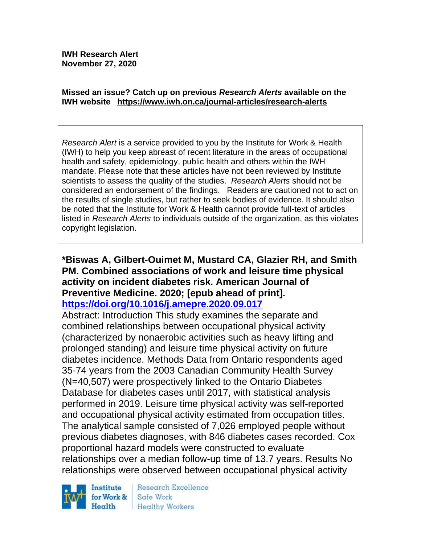**IWH Research Alert November 27, 2020**

#### **Missed an issue? Catch up on previous** *Research Alerts* **available on the [IWH website](http://www.iwh.on.ca/research-alerts) <https://www.iwh.on.ca/journal-articles/research-alerts>**

*Research Alert* is a service provided to you by the Institute for Work & Health (IWH) to help you keep abreast of recent literature in the areas of occupational health and safety, epidemiology, public health and others within the IWH mandate. Please note that these articles have not been reviewed by Institute scientists to assess the quality of the studies. *Research Alerts* should not be considered an endorsement of the findings. Readers are cautioned not to act on the results of single studies, but rather to seek bodies of evidence. It should also be noted that the Institute for Work & Health cannot provide full-text of articles listed in *Research Alerts* to individuals outside of the organization, as this violates copyright legislation.

#### **\*Biswas A, Gilbert-Ouimet M, Mustard CA, Glazier RH, and Smith PM. Combined associations of work and leisure time physical activity on incident diabetes risk. American Journal of Preventive Medicine. 2020; [epub ahead of print]. <https://doi.org/10.1016/j.amepre.2020.09.017>**

Abstract: Introduction This study examines the separate and combined relationships between occupational physical activity (characterized by nonaerobic activities such as heavy lifting and prolonged standing) and leisure time physical activity on future diabetes incidence. Methods Data from Ontario respondents aged 35-74 years from the 2003 Canadian Community Health Survey (N=40,507) were prospectively linked to the Ontario Diabetes Database for diabetes cases until 2017, with statistical analysis performed in 2019. Leisure time physical activity was self-reported and occupational physical activity estimated from occupation titles. The analytical sample consisted of 7,026 employed people without previous diabetes diagnoses, with 846 diabetes cases recorded. Cox proportional hazard models were constructed to evaluate relationships over a median follow-up time of 13.7 years. Results No relationships were observed between occupational physical activity



Research Excellence Safe Work Healthy Workers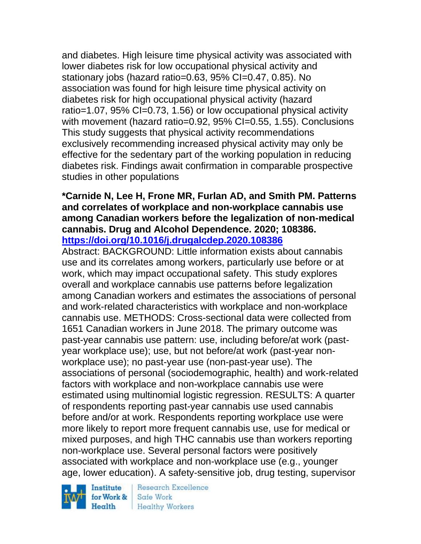and diabetes. High leisure time physical activity was associated with lower diabetes risk for low occupational physical activity and stationary jobs (hazard ratio=0.63, 95% CI=0.47, 0.85). No association was found for high leisure time physical activity on diabetes risk for high occupational physical activity (hazard ratio=1.07, 95% CI=0.73, 1.56) or low occupational physical activity with movement (hazard ratio=0.92, 95% CI=0.55, 1.55). Conclusions This study suggests that physical activity recommendations exclusively recommending increased physical activity may only be effective for the sedentary part of the working population in reducing diabetes risk. Findings await confirmation in comparable prospective studies in other populations

#### **\*Carnide N, Lee H, Frone MR, Furlan AD, and Smith PM. Patterns and correlates of workplace and non-workplace cannabis use among Canadian workers before the legalization of non-medical cannabis. Drug and Alcohol Dependence. 2020; 108386. <https://doi.org/10.1016/j.drugalcdep.2020.108386>**

Abstract: BACKGROUND: Little information exists about cannabis use and its correlates among workers, particularly use before or at work, which may impact occupational safety. This study explores overall and workplace cannabis use patterns before legalization among Canadian workers and estimates the associations of personal and work-related characteristics with workplace and non-workplace cannabis use. METHODS: Cross-sectional data were collected from 1651 Canadian workers in June 2018. The primary outcome was past-year cannabis use pattern: use, including before/at work (pastyear workplace use); use, but not before/at work (past-year nonworkplace use); no past-year use (non-past-year use). The associations of personal (sociodemographic, health) and work-related factors with workplace and non-workplace cannabis use were estimated using multinomial logistic regression. RESULTS: A quarter of respondents reporting past-year cannabis use used cannabis before and/or at work. Respondents reporting workplace use were more likely to report more frequent cannabis use, use for medical or mixed purposes, and high THC cannabis use than workers reporting non-workplace use. Several personal factors were positively associated with workplace and non-workplace use (e.g., younger age, lower education). A safety-sensitive job, drug testing, supervisor

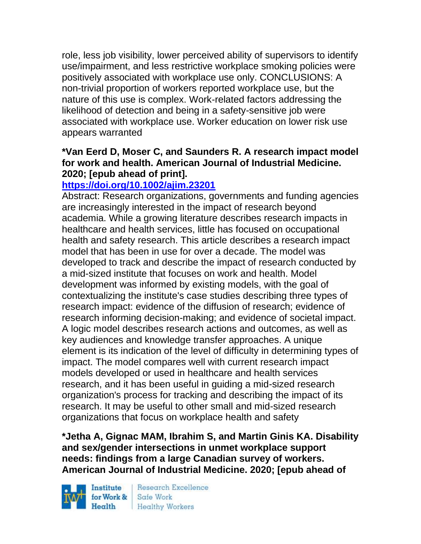role, less job visibility, lower perceived ability of supervisors to identify use/impairment, and less restrictive workplace smoking policies were positively associated with workplace use only. CONCLUSIONS: A non-trivial proportion of workers reported workplace use, but the nature of this use is complex. Work-related factors addressing the likelihood of detection and being in a safety-sensitive job were associated with workplace use. Worker education on lower risk use appears warranted

## **\*Van Eerd D, Moser C, and Saunders R. A research impact model for work and health. American Journal of Industrial Medicine. 2020; [epub ahead of print].**

# **<https://doi.org/10.1002/ajim.23201>**

Abstract: Research organizations, governments and funding agencies are increasingly interested in the impact of research beyond academia. While a growing literature describes research impacts in healthcare and health services, little has focused on occupational health and safety research. This article describes a research impact model that has been in use for over a decade. The model was developed to track and describe the impact of research conducted by a mid-sized institute that focuses on work and health. Model development was informed by existing models, with the goal of contextualizing the institute's case studies describing three types of research impact: evidence of the diffusion of research; evidence of research informing decision-making; and evidence of societal impact. A logic model describes research actions and outcomes, as well as key audiences and knowledge transfer approaches. A unique element is its indication of the level of difficulty in determining types of impact. The model compares well with current research impact models developed or used in healthcare and health services research, and it has been useful in guiding a mid-sized research organization's process for tracking and describing the impact of its research. It may be useful to other small and mid-sized research organizations that focus on workplace health and safety

**\*Jetha A, Gignac MAM, Ibrahim S, and Martin Ginis KA. Disability and sex/gender intersections in unmet workplace support needs: findings from a large Canadian survey of workers. American Journal of Industrial Medicine. 2020; [epub ahead of** 

Institute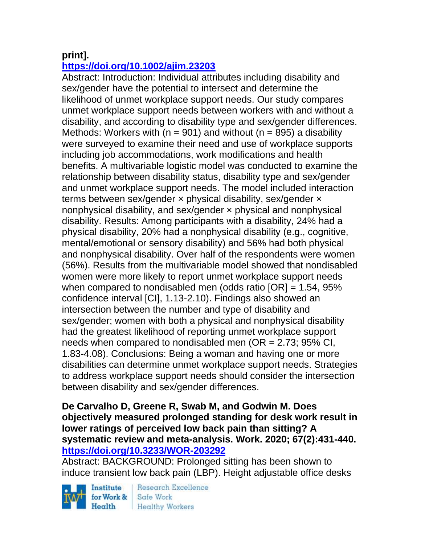## **print].**

# **<https://doi.org/10.1002/ajim.23203>**

Abstract: Introduction: Individual attributes including disability and sex/gender have the potential to intersect and determine the likelihood of unmet workplace support needs. Our study compares unmet workplace support needs between workers with and without a disability, and according to disability type and sex/gender differences. Methods: Workers with ( $n = 901$ ) and without ( $n = 895$ ) a disability were surveyed to examine their need and use of workplace supports including job accommodations, work modifications and health benefits. A multivariable logistic model was conducted to examine the relationship between disability status, disability type and sex/gender and unmet workplace support needs. The model included interaction terms between sex/gender  $\times$  physical disability, sex/gender  $\times$ nonphysical disability, and sex/gender × physical and nonphysical disability. Results: Among participants with a disability, 24% had a physical disability, 20% had a nonphysical disability (e.g., cognitive, mental/emotional or sensory disability) and 56% had both physical and nonphysical disability. Over half of the respondents were women (56%). Results from the multivariable model showed that nondisabled women were more likely to report unmet workplace support needs when compared to nondisabled men (odds ratio  $[OR] = 1.54$ , 95% confidence interval [CI], 1.13-2.10). Findings also showed an intersection between the number and type of disability and sex/gender; women with both a physical and nonphysical disability had the greatest likelihood of reporting unmet workplace support needs when compared to nondisabled men  $(OR = 2.73; 95\% \text{ Cl.})$ 1.83-4.08). Conclusions: Being a woman and having one or more disabilities can determine unmet workplace support needs. Strategies to address workplace support needs should consider the intersection between disability and sex/gender differences.

**De Carvalho D, Greene R, Swab M, and Godwin M. Does objectively measured prolonged standing for desk work result in lower ratings of perceived low back pain than sitting? A systematic review and meta-analysis. Work. 2020; 67(2):431-440. <https://doi.org/10.3233/WOR-203292>** 

Abstract: BACKGROUND: Prolonged sitting has been shown to induce transient low back pain (LBP). Height adjustable office desks

Institute for Work &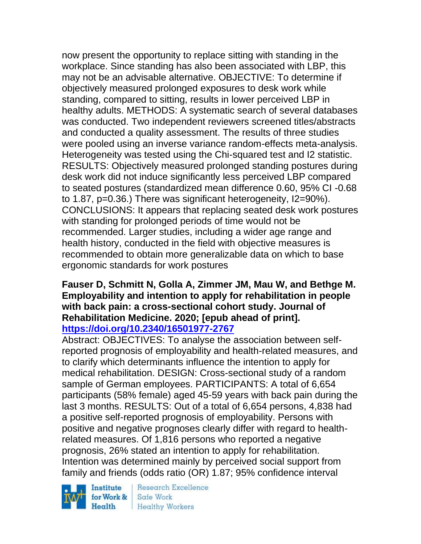now present the opportunity to replace sitting with standing in the workplace. Since standing has also been associated with LBP, this may not be an advisable alternative. OBJECTIVE: To determine if objectively measured prolonged exposures to desk work while standing, compared to sitting, results in lower perceived LBP in healthy adults. METHODS: A systematic search of several databases was conducted. Two independent reviewers screened titles/abstracts and conducted a quality assessment. The results of three studies were pooled using an inverse variance random-effects meta-analysis. Heterogeneity was tested using the Chi-squared test and I2 statistic. RESULTS: Objectively measured prolonged standing postures during desk work did not induce significantly less perceived LBP compared to seated postures (standardized mean difference 0.60, 95% CI -0.68 to 1.87, p=0.36.) There was significant heterogeneity, I2=90%). CONCLUSIONS: It appears that replacing seated desk work postures with standing for prolonged periods of time would not be recommended. Larger studies, including a wider age range and health history, conducted in the field with objective measures is recommended to obtain more generalizable data on which to base ergonomic standards for work postures

#### **Fauser D, Schmitt N, Golla A, Zimmer JM, Mau W, and Bethge M. Employability and intention to apply for rehabilitation in people with back pain: a cross-sectional cohort study. Journal of Rehabilitation Medicine. 2020; [epub ahead of print]. <https://doi.org/10.2340/16501977-2767>**

Abstract: OBJECTIVES: To analyse the association between selfreported prognosis of employability and health-related measures, and to clarify which determinants influence the intention to apply for medical rehabilitation. DESIGN: Cross-sectional study of a random sample of German employees. PARTICIPANTS: A total of 6,654 participants (58% female) aged 45-59 years with back pain during the last 3 months. RESULTS: Out of a total of 6,654 persons, 4,838 had a positive self-reported prognosis of employability. Persons with positive and negative prognoses clearly differ with regard to healthrelated measures. Of 1,816 persons who reported a negative prognosis, 26% stated an intention to apply for rehabilitation. Intention was determined mainly by perceived social support from family and friends (odds ratio (OR) 1.87; 95% confidence interval

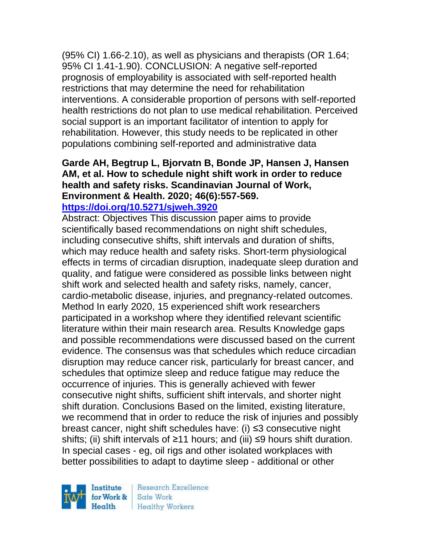(95% CI) 1.66-2.10), as well as physicians and therapists (OR 1.64; 95% CI 1.41-1.90). CONCLUSION: A negative self-reported prognosis of employability is associated with self-reported health restrictions that may determine the need for rehabilitation interventions. A considerable proportion of persons with self-reported health restrictions do not plan to use medical rehabilitation. Perceived social support is an important facilitator of intention to apply for rehabilitation. However, this study needs to be replicated in other populations combining self-reported and administrative data

## **Garde AH, Begtrup L, Bjorvatn B, Bonde JP, Hansen J, Hansen AM, et al. How to schedule night shift work in order to reduce health and safety risks. Scandinavian Journal of Work, Environment & Health. 2020; 46(6):557-569.**

### **<https://doi.org/10.5271/sjweh.3920>**

Abstract: Objectives This discussion paper aims to provide scientifically based recommendations on night shift schedules, including consecutive shifts, shift intervals and duration of shifts, which may reduce health and safety risks. Short-term physiological effects in terms of circadian disruption, inadequate sleep duration and quality, and fatigue were considered as possible links between night shift work and selected health and safety risks, namely, cancer, cardio-metabolic disease, injuries, and pregnancy-related outcomes. Method In early 2020, 15 experienced shift work researchers participated in a workshop where they identified relevant scientific literature within their main research area. Results Knowledge gaps and possible recommendations were discussed based on the current evidence. The consensus was that schedules which reduce circadian disruption may reduce cancer risk, particularly for breast cancer, and schedules that optimize sleep and reduce fatigue may reduce the occurrence of injuries. This is generally achieved with fewer consecutive night shifts, sufficient shift intervals, and shorter night shift duration. Conclusions Based on the limited, existing literature, we recommend that in order to reduce the risk of injuries and possibly breast cancer, night shift schedules have: (i) ≤3 consecutive night shifts; (ii) shift intervals of ≥11 hours; and (iii) ≤9 hours shift duration. In special cases - eg, oil rigs and other isolated workplaces with better possibilities to adapt to daytime sleep - additional or other

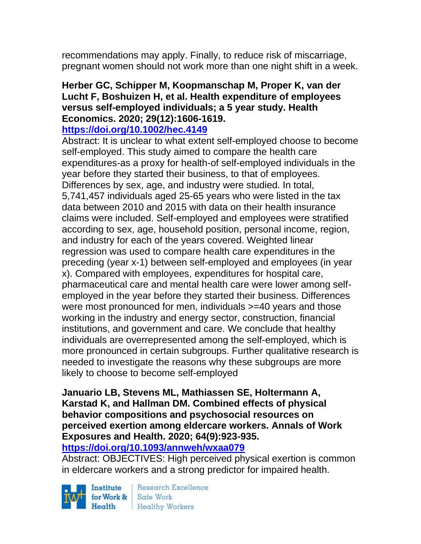recommendations may apply. Finally, to reduce risk of miscarriage, pregnant women should not work more than one night shift in a week.

### **Herber GC, Schipper M, Koopmanschap M, Proper K, van der Lucht F, Boshuizen H, et al. Health expenditure of employees versus self-employed individuals; a 5 year study. Health Economics. 2020; 29(12):1606-1619.**

#### **<https://doi.org/10.1002/hec.4149>**

Abstract: It is unclear to what extent self-employed choose to become self-employed. This study aimed to compare the health care expenditures-as a proxy for health-of self-employed individuals in the year before they started their business, to that of employees. Differences by sex, age, and industry were studied. In total, 5,741,457 individuals aged 25-65 years who were listed in the tax data between 2010 and 2015 with data on their health insurance claims were included. Self-employed and employees were stratified according to sex, age, household position, personal income, region, and industry for each of the years covered. Weighted linear regression was used to compare health care expenditures in the preceding (year x-1) between self-employed and employees (in year x). Compared with employees, expenditures for hospital care, pharmaceutical care and mental health care were lower among selfemployed in the year before they started their business. Differences were most pronounced for men, individuals >=40 years and those working in the industry and energy sector, construction, financial institutions, and government and care. We conclude that healthy individuals are overrepresented among the self-employed, which is more pronounced in certain subgroups. Further qualitative research is needed to investigate the reasons why these subgroups are more likely to choose to become self-employed

### **Januario LB, Stevens ML, Mathiassen SE, Holtermann A, Karstad K, and Hallman DM. Combined effects of physical behavior compositions and psychosocial resources on perceived exertion among eldercare workers. Annals of Work Exposures and Health. 2020; 64(9):923-935.**

**<https://doi.org/10.1093/annweh/wxaa079>** 

Abstract: OBJECTIVES: High perceived physical exertion is common in eldercare workers and a strong predictor for impaired health.

Institute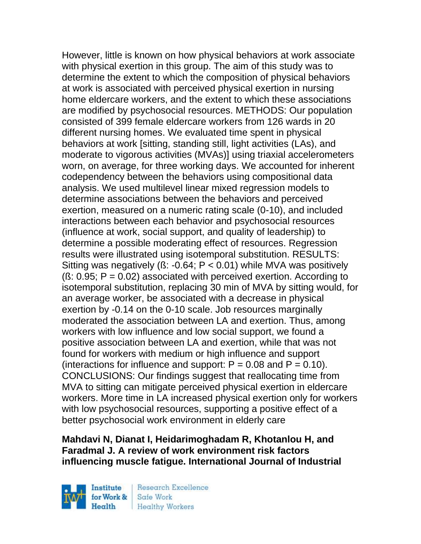However, little is known on how physical behaviors at work associate with physical exertion in this group. The aim of this study was to determine the extent to which the composition of physical behaviors at work is associated with perceived physical exertion in nursing home eldercare workers, and the extent to which these associations are modified by psychosocial resources. METHODS: Our population consisted of 399 female eldercare workers from 126 wards in 20 different nursing homes. We evaluated time spent in physical behaviors at work [sitting, standing still, light activities (LAs), and moderate to vigorous activities (MVAs)] using triaxial accelerometers worn, on average, for three working days. We accounted for inherent codependency between the behaviors using compositional data analysis. We used multilevel linear mixed regression models to determine associations between the behaviors and perceived exertion, measured on a numeric rating scale (0-10), and included interactions between each behavior and psychosocial resources (influence at work, social support, and quality of leadership) to determine a possible moderating effect of resources. Regression results were illustrated using isotemporal substitution. RESULTS: Sitting was negatively ( $\beta$ : -0.64; P < 0.01) while MVA was positively  $(S: 0.95; P = 0.02)$  associated with perceived exertion. According to isotemporal substitution, replacing 30 min of MVA by sitting would, for an average worker, be associated with a decrease in physical exertion by -0.14 on the 0-10 scale. Job resources marginally moderated the association between LA and exertion. Thus, among workers with low influence and low social support, we found a positive association between LA and exertion, while that was not found for workers with medium or high influence and support (interactions for influence and support:  $P = 0.08$  and  $P = 0.10$ ). CONCLUSIONS: Our findings suggest that reallocating time from MVA to sitting can mitigate perceived physical exertion in eldercare workers. More time in LA increased physical exertion only for workers with low psychosocial resources, supporting a positive effect of a better psychosocial work environment in elderly care

## **Mahdavi N, Dianat I, Heidarimoghadam R, Khotanlou H, and Faradmal J. A review of work environment risk factors influencing muscle fatigue. International Journal of Industrial**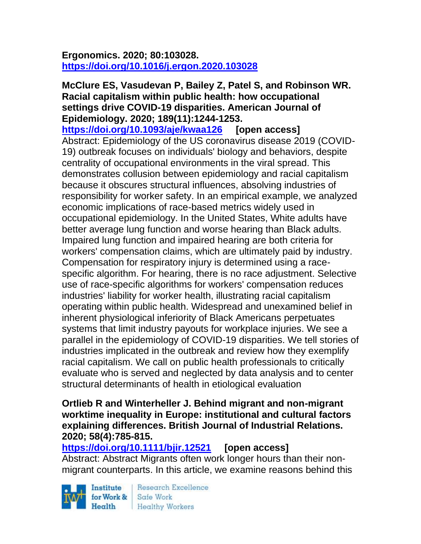### **Ergonomics. 2020; 80:103028. <https://doi.org/10.1016/j.ergon.2020.103028>**

#### **McClure ES, Vasudevan P, Bailey Z, Patel S, and Robinson WR. Racial capitalism within public health: how occupational settings drive COVID-19 disparities. American Journal of Epidemiology. 2020; 189(11):1244-1253.**

**<https://doi.org/10.1093/aje/kwaa126> [open access]** Abstract: Epidemiology of the US coronavirus disease 2019 (COVID-19) outbreak focuses on individuals' biology and behaviors, despite centrality of occupational environments in the viral spread. This demonstrates collusion between epidemiology and racial capitalism because it obscures structural influences, absolving industries of responsibility for worker safety. In an empirical example, we analyzed economic implications of race-based metrics widely used in occupational epidemiology. In the United States, White adults have better average lung function and worse hearing than Black adults. Impaired lung function and impaired hearing are both criteria for workers' compensation claims, which are ultimately paid by industry. Compensation for respiratory injury is determined using a racespecific algorithm. For hearing, there is no race adjustment. Selective use of race-specific algorithms for workers' compensation reduces industries' liability for worker health, illustrating racial capitalism operating within public health. Widespread and unexamined belief in inherent physiological inferiority of Black Americans perpetuates systems that limit industry payouts for workplace injuries. We see a parallel in the epidemiology of COVID-19 disparities. We tell stories of industries implicated in the outbreak and review how they exemplify racial capitalism. We call on public health professionals to critically evaluate who is served and neglected by data analysis and to center structural determinants of health in etiological evaluation

#### **Ortlieb R and Winterheller J. Behind migrant and non-migrant worktime inequality in Europe: institutional and cultural factors explaining differences. British Journal of Industrial Relations. 2020; 58(4):785-815.**

#### **<https://doi.org/10.1111/bjir.12521> [open access]** Abstract: Abstract Migrants often work longer hours than their nonmigrant counterparts. In this article, we examine reasons behind this

Institute Health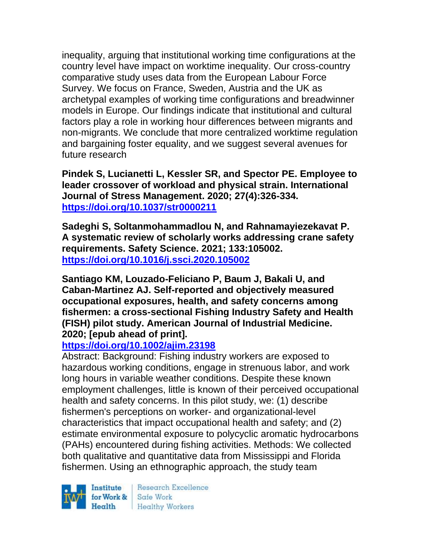inequality, arguing that institutional working time configurations at the country level have impact on worktime inequality. Our cross-country comparative study uses data from the European Labour Force Survey. We focus on France, Sweden, Austria and the UK as archetypal examples of working time configurations and breadwinner models in Europe. Our findings indicate that institutional and cultural factors play a role in working hour differences between migrants and non-migrants. We conclude that more centralized worktime regulation and bargaining foster equality, and we suggest several avenues for future research

**Pindek S, Lucianetti L, Kessler SR, and Spector PE. Employee to leader crossover of workload and physical strain. International Journal of Stress Management. 2020; 27(4):326-334. <https://doi.org/10.1037/str0000211>** 

**Sadeghi S, Soltanmohammadlou N, and Rahnamayiezekavat P. A systematic review of scholarly works addressing crane safety requirements. Safety Science. 2021; 133:105002. <https://doi.org/10.1016/j.ssci.2020.105002>** 

**Santiago KM, Louzado-Feliciano P, Baum J, Bakali U, and Caban-Martinez AJ. Self-reported and objectively measured occupational exposures, health, and safety concerns among fishermen: a cross-sectional Fishing Industry Safety and Health (FISH) pilot study. American Journal of Industrial Medicine. 2020; [epub ahead of print].**

### **<https://doi.org/10.1002/ajim.23198>**

Abstract: Background: Fishing industry workers are exposed to hazardous working conditions, engage in strenuous labor, and work long hours in variable weather conditions. Despite these known employment challenges, little is known of their perceived occupational health and safety concerns. In this pilot study, we: (1) describe fishermen's perceptions on worker- and organizational-level characteristics that impact occupational health and safety; and (2) estimate environmental exposure to polycyclic aromatic hydrocarbons (PAHs) encountered during fishing activities. Methods: We collected both qualitative and quantitative data from Mississippi and Florida fishermen. Using an ethnographic approach, the study team